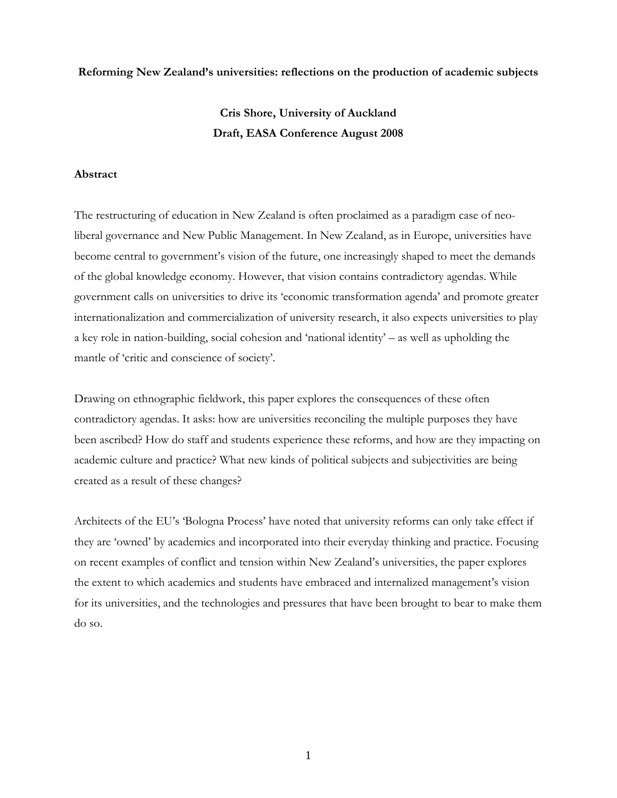# **Reforming New Zealand's universities: reflections on the production of academic subjects**

# **Cris Shore, University of Auckland Draft, EASA Conference August 2008**

## **Abstract**

The restructuring of education in New Zealand is often proclaimed as a paradigm case of neoliberal governance and New Public Management. In New Zealand, as in Europe, universities have become central to government's vision of the future, one increasingly shaped to meet the demands of the global knowledge economy. However, that vision contains contradictory agendas. While government calls on universities to drive its 'economic transformation agenda' and promote greater internationalization and commercialization of university research, it also expects universities to play a key role in nation-building, social cohesion and 'national identity' – as well as upholding the mantle of 'critic and conscience of society'.

Drawing on ethnographic fieldwork, this paper explores the consequences of these often contradictory agendas. It asks: how are universities reconciling the multiple purposes they have been ascribed? How do staff and students experience these reforms, and how are they impacting on academic culture and practice? What new kinds of political subjects and subjectivities are being created as a result of these changes?

Architects of the EU's 'Bologna Process' have noted that university reforms can only take effect if they are 'owned' by academics and incorporated into their everyday thinking and practice. Focusing on recent examples of conflict and tension within New Zealand's universities, the paper explores the extent to which academics and students have embraced and internalized management's vision for its universities, and the technologies and pressures that have been brought to bear to make them do so.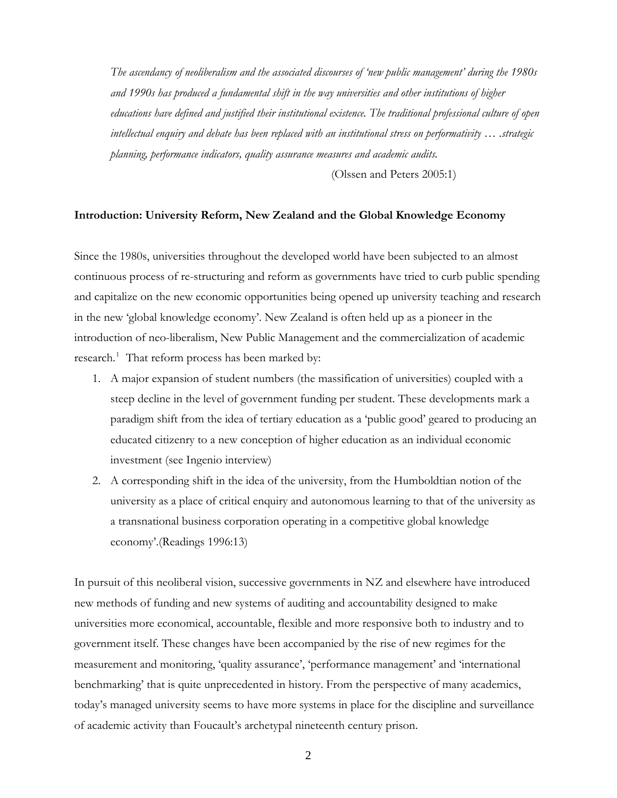*The ascendancy of neoliberalism and the associated discourses of 'new public management' during the 1980s and 1990s has produced a fundamental shift in the way universities and other institutions of higher educations have defined and justified their institutional existence. The traditional professional culture of open intellectual enquiry and debate has been replaced with an institutional stress on performativity … .strategic planning, performance indicators, quality assurance measures and academic audits.* 

(Olssen and Peters 2005:1)

#### **Introduction: University Reform, New Zealand and the Global Knowledge Economy**

Since the 1980s, universities throughout the developed world have been subjected to an almost continuous process of re-structuring and reform as governments have tried to curb public spending and capitalize on the new economic opportunities being opened up university teaching and research in the new 'global knowledge economy'. New Zealand is often held up as a pioneer in the introduction of neo-liberalism, New Public Management and the commercialization of academic research.<sup>[1](#page-15-0)</sup> That reform process has been marked by:

- 1. A major expansion of student numbers (the massification of universities) coupled with a steep decline in the level of government funding per student. These developments mark a paradigm shift from the idea of tertiary education as a 'public good' geared to producing an educated citizenry to a new conception of higher education as an individual economic investment (see Ingenio interview)
- 2. A corresponding shift in the idea of the university, from the Humboldtian notion of the university as a place of critical enquiry and autonomous learning to that of the university as a transnational business corporation operating in a competitive global knowledge economy'.(Readings 1996:13)

In pursuit of this neoliberal vision, successive governments in NZ and elsewhere have introduced new methods of funding and new systems of auditing and accountability designed to make universities more economical, accountable, flexible and more responsive both to industry and to government itself. These changes have been accompanied by the rise of new regimes for the measurement and monitoring, 'quality assurance', 'performance management' and 'international benchmarking' that is quite unprecedented in history. From the perspective of many academics, today's managed university seems to have more systems in place for the discipline and surveillance of academic activity than Foucault's archetypal nineteenth century prison.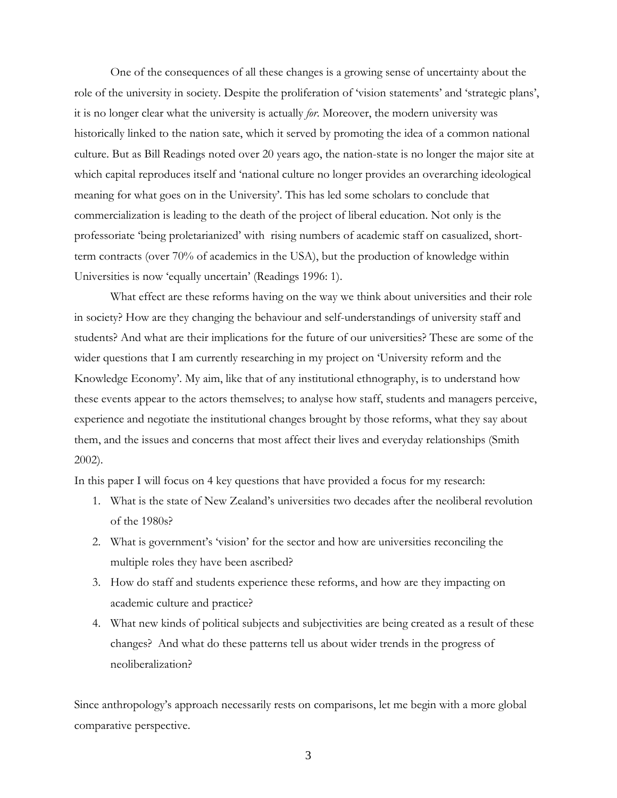One of the consequences of all these changes is a growing sense of uncertainty about the role of the university in society. Despite the proliferation of 'vision statements' and 'strategic plans', it is no longer clear what the university is actually *for*. Moreover, the modern university was historically linked to the nation sate, which it served by promoting the idea of a common national culture. But as Bill Readings noted over 20 years ago, the nation-state is no longer the major site at which capital reproduces itself and 'national culture no longer provides an overarching ideological meaning for what goes on in the University'. This has led some scholars to conclude that commercialization is leading to the death of the project of liberal education. Not only is the professoriate 'being proletarianized' with rising numbers of academic staff on casualized, shortterm contracts (over 70% of academics in the USA), but the production of knowledge within Universities is now 'equally uncertain' (Readings 1996: 1).

What effect are these reforms having on the way we think about universities and their role in society? How are they changing the behaviour and self-understandings of university staff and students? And what are their implications for the future of our universities? These are some of the wider questions that I am currently researching in my project on 'University reform and the Knowledge Economy'. My aim, like that of any institutional ethnography, is to understand how these events appear to the actors themselves; to analyse how staff, students and managers perceive, experience and negotiate the institutional changes brought by those reforms, what they say about them, and the issues and concerns that most affect their lives and everyday relationships (Smith 2002).

In this paper I will focus on 4 key questions that have provided a focus for my research:

- 1. What is the state of New Zealand's universities two decades after the neoliberal revolution of the 1980s?
- 2. What is government's 'vision' for the sector and how are universities reconciling the multiple roles they have been ascribed?
- 3. How do staff and students experience these reforms, and how are they impacting on academic culture and practice?
- 4. What new kinds of political subjects and subjectivities are being created as a result of these changes? And what do these patterns tell us about wider trends in the progress of neoliberalization?

Since anthropology's approach necessarily rests on comparisons, let me begin with a more global comparative perspective.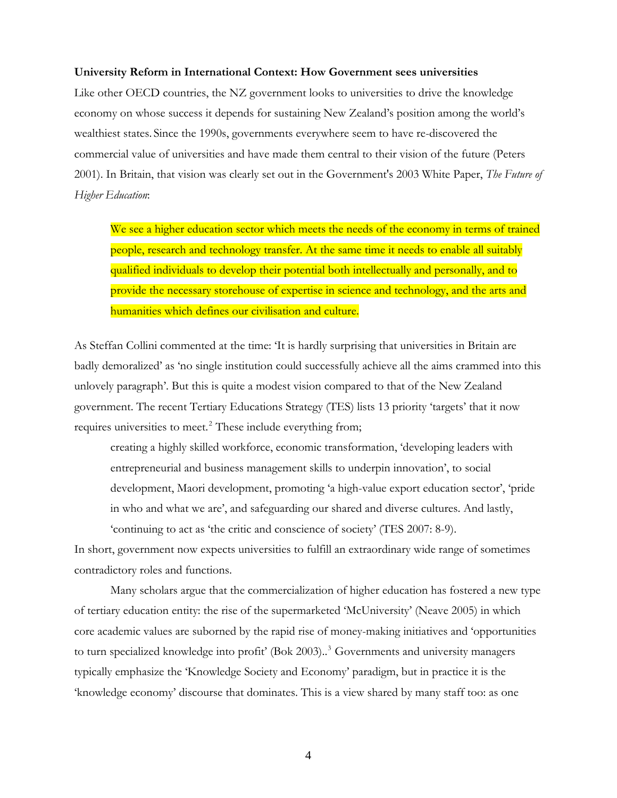### **University Reform in International Context: How Government sees universities**

Like other OECD countries, the NZ government looks to universities to drive the knowledge economy on whose success it depends for sustaining New Zealand's position among the world's wealthiest states. Since the 1990s, governments everywhere seem to have re-discovered the commercial value of universities and have made them central to their vision of the future (Peters 2001). In Britain, that vision was clearly set out in the Government's 2003 White Paper, *The Future of Higher Education*:

We see a higher education sector which meets the needs of the economy in terms of trained people, research and technology transfer. At the same time it needs to enable all suitably qualified individuals to develop their potential both intellectually and personally, and to provide the necessary storehouse of expertise in science and technology, and the arts and humanities which defines our civilisation and culture.

As Steffan Collini commented at the time: 'It is hardly surprising that universities in Britain are badly demoralized' as 'no single institution could successfully achieve all the aims crammed into this unlovely paragraph'. But this is quite a modest vision compared to that of the New Zealand government. The recent Tertiary Educations Strategy (TES) lists 13 priority 'targets' that it now requires universities to meet.<sup>[2](#page-15-1)</sup> These include everything from;

creating a highly skilled workforce, economic transformation, 'developing leaders with entrepreneurial and business management skills to underpin innovation', to social development, Maori development, promoting 'a high-value export education sector', 'pride in who and what we are', and safeguarding our shared and diverse cultures. And lastly, 'continuing to act as 'the critic and conscience of society' (TES 2007: 8-9).

In short, government now expects universities to fulfill an extraordinary wide range of sometimes contradictory roles and functions.

Many scholars argue that the commercialization of higher education has fostered a new type of tertiary education entity: the rise of the supermarketed 'McUniversity' (Neave 2005) in which core academic values are suborned by the rapid rise of money-making initiatives and 'opportunities to turn specialized knowledge into profit' (Bok 2003)..<sup>3</sup> Governments and university managers typically emphasize the 'Knowledge Society and Economy' paradigm, but in practice it is the 'knowledge economy' discourse that dominates. This is a view shared by many staff too: as one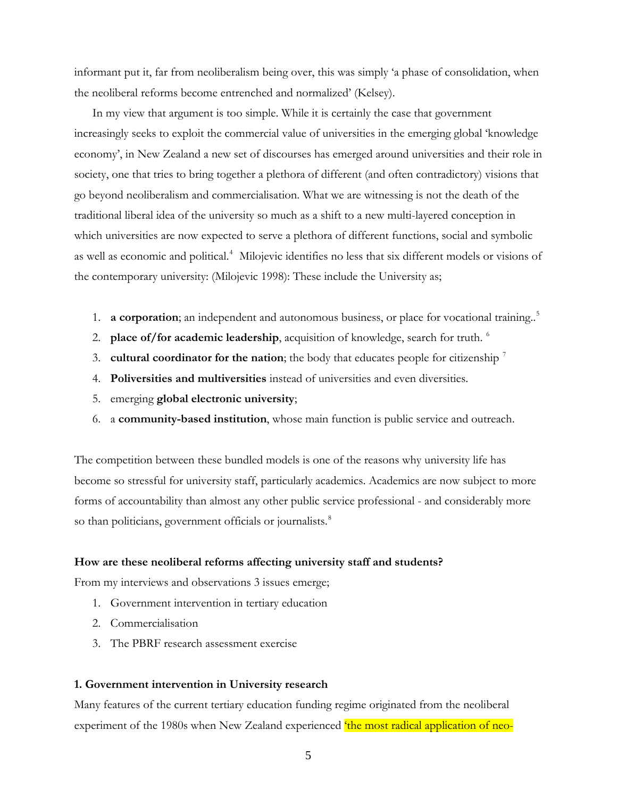informant put it, far from neoliberalism being over, this was simply 'a phase of consolidation, when the neoliberal reforms become entrenched and normalized' (Kelsey).

In my view that argument is too simple. While it is certainly the case that government increasingly seeks to exploit the commercial value of universities in the emerging global 'knowledge economy', in New Zealand a new set of discourses has emerged around universities and their role in society, one that tries to bring together a plethora of different (and often contradictory) visions that go beyond neoliberalism and commercialisation. What we are witnessing is not the death of the traditional liberal idea of the university so much as a shift to a new multi-layered conception in which universities are now expected to serve a plethora of different functions, social and symbolic as well as economic and political.<sup>[4](#page-15-1)</sup> Milojevic identifies no less that six different models or visions of the contemporary university: (Milojevic 1998): These include the University as;

- 1. **a corporation**; an independent and autonomous business, or place for vocational training.<sup>[5](#page-15-1)</sup>
- 2. **place of/for academic leadership**, acquisition of knowledge, search for truth. <sup>[6](#page-15-1)</sup>
- 3. **cultural coordinator for the nation**; the body that educates people for citizenship [7](#page-15-1)
- 4. **Poliversities and multiversities** instead of universities and even diversities.
- 5. emerging **global electronic university**;
- 6. a **community-based institution**, whose main function is public service and outreach.

The competition between these bundled models is one of the reasons why university life has become so stressful for university staff, particularly academics. Academics are now subject to more forms of accountability than almost any other public service professional - and considerably more so than politicians, government officials or journalists.<sup>[8](#page-15-1)</sup>

### **How are these neoliberal reforms affecting university staff and students?**

From my interviews and observations 3 issues emerge;

- 1. Government intervention in tertiary education
- 2. Commercialisation
- 3. The PBRF research assessment exercise

#### **1. Government intervention in University research**

Many features of the current tertiary education funding regime originated from the neoliberal experiment of the 1980s when New Zealand experienced the most radical application of neo-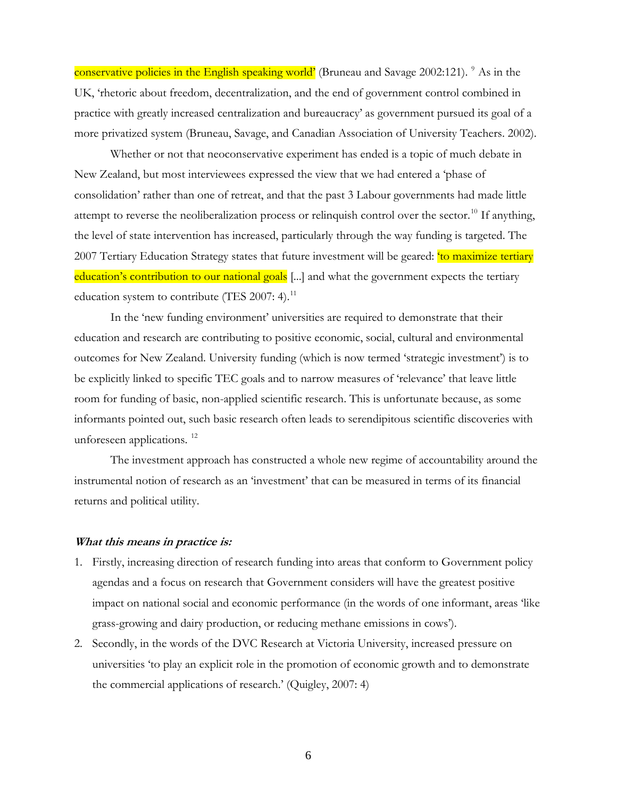conservative policies in the English speaking world' (Bruneau and Savage 2002:121). <sup>[9](#page-15-1)</sup> As in the UK, 'rhetoric about freedom, decentralization, and the end of government control combined in practice with greatly increased centralization and bureaucracy' as government pursued its goal of a more privatized system (Bruneau, Savage, and Canadian Association of University Teachers. 2002).

Whether or not that neoconservative experiment has ended is a topic of much debate in New Zealand, but most interviewees expressed the view that we had entered a 'phase of consolidation' rather than one of retreat, and that the past 3 Labour governments had made little attempt to reverse the neoliberalization process or relinquish control over the sector.<sup>[10](#page-15-1)</sup> If anything, the level of state intervention has increased, particularly through the way funding is targeted. The 2007 Tertiary Education Strategy states that future investment will be geared: *to maximize tertiary* education's contribution to our national goals [...] and what the government expects the tertiary education system to contribute (TES 2007: 4).<sup>[11](#page-15-1)</sup>

In the 'new funding environment' universities are required to demonstrate that their education and research are contributing to positive economic, social, cultural and environmental outcomes for New Zealand. University funding (which is now termed 'strategic investment') is to be explicitly linked to specific TEC goals and to narrow measures of 'relevance' that leave little room for funding of basic, non-applied scientific research. This is unfortunate because, as some informants pointed out, such basic research often leads to serendipitous scientific discoveries with unforeseen applications.<sup>[12](#page-15-1)</sup>

The investment approach has constructed a whole new regime of accountability around the instrumental notion of research as an 'investment' that can be measured in terms of its financial returns and political utility.

#### **What this means in practice is:**

- 1. Firstly, increasing direction of research funding into areas that conform to Government policy agendas and a focus on research that Government considers will have the greatest positive impact on national social and economic performance (in the words of one informant, areas 'like grass-growing and dairy production, or reducing methane emissions in cows').
- 2. Secondly, in the words of the DVC Research at Victoria University, increased pressure on universities 'to play an explicit role in the promotion of economic growth and to demonstrate the commercial applications of research.' (Quigley, 2007: 4)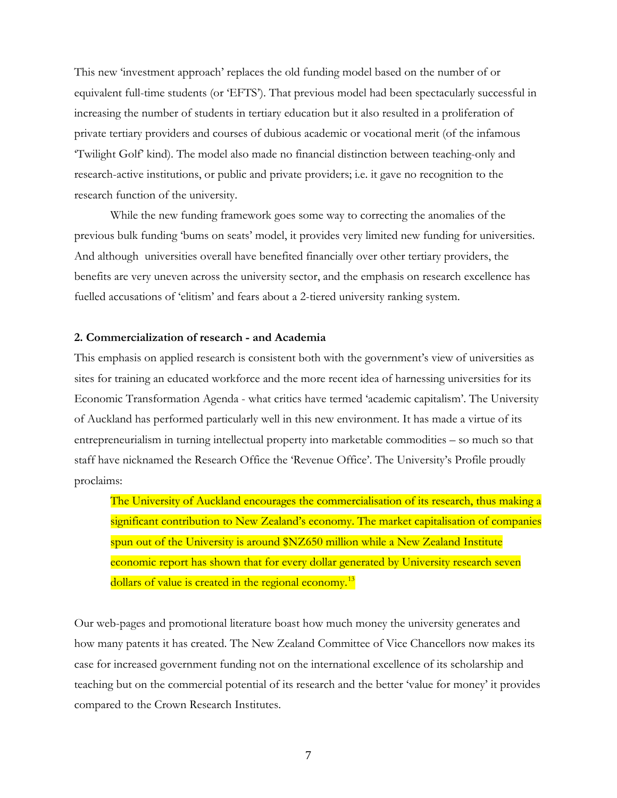This new 'investment approach' replaces the old funding model based on the number of or equivalent full-time students (or 'EFTS'). That previous model had been spectacularly successful in increasing the number of students in tertiary education but it also resulted in a proliferation of private tertiary providers and courses of dubious academic or vocational merit (of the infamous 'Twilight Golf' kind). The model also made no financial distinction between teaching-only and research-active institutions, or public and private providers; i.e. it gave no recognition to the research function of the university.

While the new funding framework goes some way to correcting the anomalies of the previous bulk funding 'bums on seats' model, it provides very limited new funding for universities. And although universities overall have benefited financially over other tertiary providers, the benefits are very uneven across the university sector, and the emphasis on research excellence has fuelled accusations of 'elitism' and fears about a 2-tiered university ranking system.

#### **2. Commercialization of research - and Academia**

This emphasis on applied research is consistent both with the government's view of universities as sites for training an educated workforce and the more recent idea of harnessing universities for its Economic Transformation Agenda - what critics have termed 'academic capitalism'. The University of Auckland has performed particularly well in this new environment. It has made a virtue of its entrepreneurialism in turning intellectual property into marketable commodities – so much so that staff have nicknamed the Research Office the 'Revenue Office'. The University's Profile proudly proclaims:

The University of Auckland encourages the commercialisation of its research, thus making a significant contribution to New Zealand's economy. The market capitalisation of companies spun out of the University is around \$NZ650 million while a New Zealand Institute economic report has shown that for every dollar generated by University research seven dollars of value is created in the regional economy.<sup>[13](#page-15-1)</sup>

Our web-pages and promotional literature boast how much money the university generates and how many patents it has created. The New Zealand Committee of Vice Chancellors now makes its case for increased government funding not on the international excellence of its scholarship and teaching but on the commercial potential of its research and the better 'value for money' it provides compared to the Crown Research Institutes.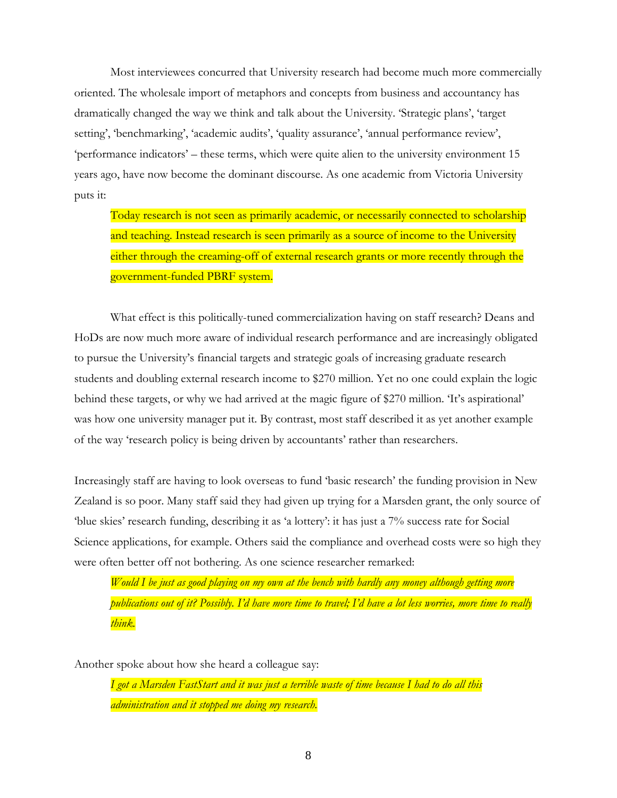Most interviewees concurred that University research had become much more commercially oriented. The wholesale import of metaphors and concepts from business and accountancy has dramatically changed the way we think and talk about the University. 'Strategic plans', 'target setting', 'benchmarking', 'academic audits', 'quality assurance', 'annual performance review', 'performance indicators' – these terms, which were quite alien to the university environment 15 years ago, have now become the dominant discourse. As one academic from Victoria University puts it:

Today research is not seen as primarily academic, or necessarily connected to scholarship and teaching. Instead research is seen primarily as a source of income to the University either through the creaming-off of external research grants or more recently through the government-funded PBRF system.

What effect is this politically-tuned commercialization having on staff research? Deans and HoDs are now much more aware of individual research performance and are increasingly obligated to pursue the University's financial targets and strategic goals of increasing graduate research students and doubling external research income to \$270 million. Yet no one could explain the logic behind these targets, or why we had arrived at the magic figure of \$270 million. 'It's aspirational' was how one university manager put it. By contrast, most staff described it as yet another example of the way 'research policy is being driven by accountants' rather than researchers.

Increasingly staff are having to look overseas to fund 'basic research' the funding provision in New Zealand is so poor. Many staff said they had given up trying for a Marsden grant, the only source of 'blue skies' research funding, describing it as 'a lottery': it has just a 7% success rate for Social Science applications, for example. Others said the compliance and overhead costs were so high they were often better off not bothering. As one science researcher remarked:

*Would I be just as good playing on my own at the bench with hardly any money although getting more publications out of it? Possibly. I'd have more time to travel; I'd have a lot less worries, more time to really think.* 

Another spoke about how she heard a colleague say:

*I got a Marsden FastStart and it was just a terrible waste of time because I had to do all this administration and it stopped me doing my research.*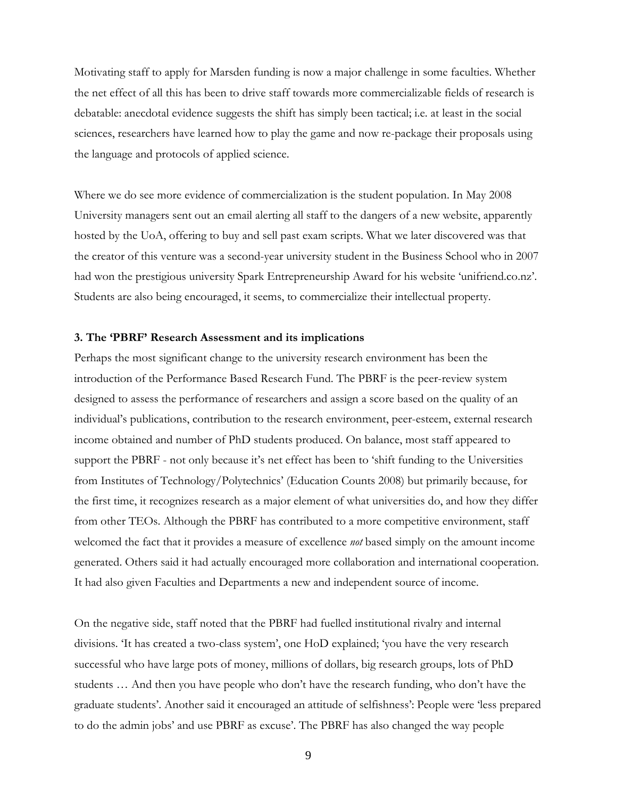Motivating staff to apply for Marsden funding is now a major challenge in some faculties. Whether the net effect of all this has been to drive staff towards more commercializable fields of research is debatable: anecdotal evidence suggests the shift has simply been tactical; i.e. at least in the social sciences, researchers have learned how to play the game and now re-package their proposals using the language and protocols of applied science.

Where we do see more evidence of commercialization is the student population. In May 2008 University managers sent out an email alerting all staff to the dangers of a new website, apparently hosted by the UoA, offering to buy and sell past exam scripts. What we later discovered was that the creator of this venture was a second-year university student in the Business School who in 2007 had won the prestigious university Spark Entrepreneurship Award for his website 'unifriend.co.nz'. Students are also being encouraged, it seems, to commercialize their intellectual property.

#### **3. The 'PBRF' Research Assessment and its implications**

Perhaps the most significant change to the university research environment has been the introduction of the Performance Based Research Fund. The PBRF is the peer-review system designed to assess the performance of researchers and assign a score based on the quality of an individual's publications, contribution to the research environment, peer-esteem, external research income obtained and number of PhD students produced. On balance, most staff appeared to support the PBRF - not only because it's net effect has been to 'shift funding to the Universities from Institutes of Technology/Polytechnics' (Education Counts 2008) but primarily because, for the first time, it recognizes research as a major element of what universities do, and how they differ from other TEOs. Although the PBRF has contributed to a more competitive environment, staff welcomed the fact that it provides a measure of excellence *not* based simply on the amount income generated. Others said it had actually encouraged more collaboration and international cooperation. It had also given Faculties and Departments a new and independent source of income.

On the negative side, staff noted that the PBRF had fuelled institutional rivalry and internal divisions. 'It has created a two-class system', one HoD explained; 'you have the very research successful who have large pots of money, millions of dollars, big research groups, lots of PhD students … And then you have people who don't have the research funding, who don't have the graduate students'. Another said it encouraged an attitude of selfishness': People were 'less prepared to do the admin jobs' and use PBRF as excuse'. The PBRF has also changed the way people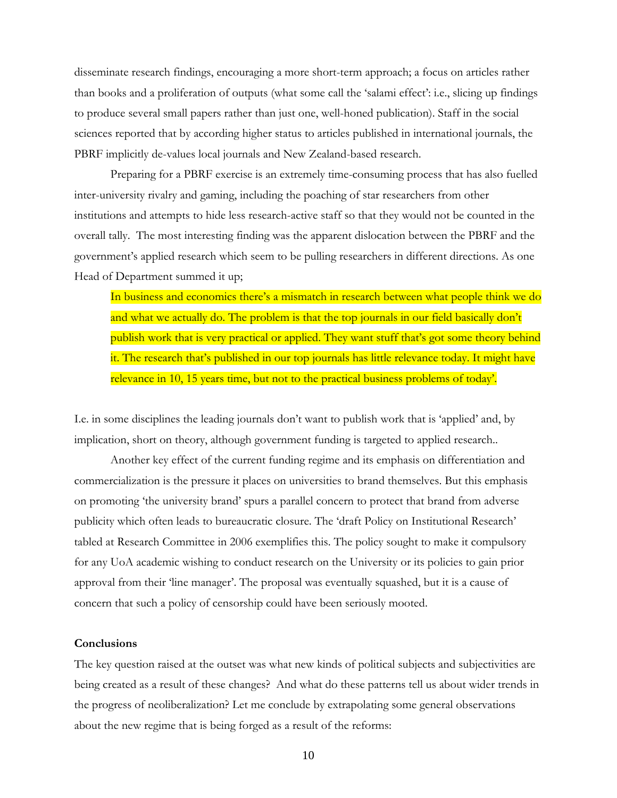disseminate research findings, encouraging a more short-term approach; a focus on articles rather than books and a proliferation of outputs (what some call the 'salami effect': i.e., slicing up findings to produce several small papers rather than just one, well-honed publication). Staff in the social sciences reported that by according higher status to articles published in international journals, the PBRF implicitly de-values local journals and New Zealand-based research.

Preparing for a PBRF exercise is an extremely time-consuming process that has also fuelled inter-university rivalry and gaming, including the poaching of star researchers from other institutions and attempts to hide less research-active staff so that they would not be counted in the overall tally. The most interesting finding was the apparent dislocation between the PBRF and the government's applied research which seem to be pulling researchers in different directions. As one Head of Department summed it up;

In business and economics there's a mismatch in research between what people think we do and what we actually do. The problem is that the top journals in our field basically don't publish work that is very practical or applied. They want stuff that's got some theory behind it. The research that's published in our top journals has little relevance today. It might have relevance in 10, 15 years time, but not to the practical business problems of today'.

I.e. in some disciplines the leading journals don't want to publish work that is 'applied' and, by implication, short on theory, although government funding is targeted to applied research..

 Another key effect of the current funding regime and its emphasis on differentiation and commercialization is the pressure it places on universities to brand themselves. But this emphasis on promoting 'the university brand' spurs a parallel concern to protect that brand from adverse publicity which often leads to bureaucratic closure. The 'draft Policy on Institutional Research' tabled at Research Committee in 2006 exemplifies this. The policy sought to make it compulsory for any UoA academic wishing to conduct research on the University or its policies to gain prior approval from their 'line manager'. The proposal was eventually squashed, but it is a cause of concern that such a policy of censorship could have been seriously mooted.

## **Conclusions**

The key question raised at the outset was what new kinds of political subjects and subjectivities are being created as a result of these changes? And what do these patterns tell us about wider trends in the progress of neoliberalization? Let me conclude by extrapolating some general observations about the new regime that is being forged as a result of the reforms: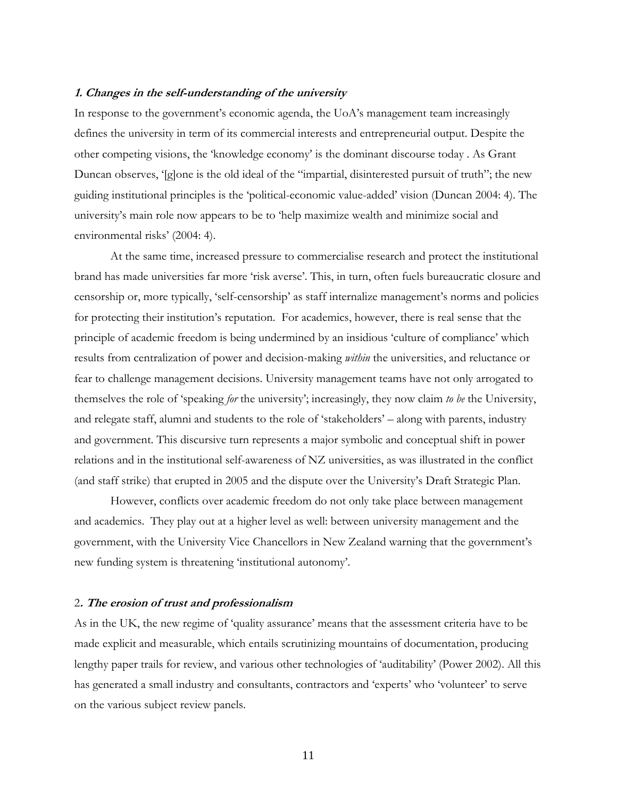#### **1. Changes in the self-understanding of the university**

In response to the government's economic agenda, the UoA's management team increasingly defines the university in term of its commercial interests and entrepreneurial output. Despite the other competing visions, the 'knowledge economy' is the dominant discourse today . As Grant Duncan observes, '[g]one is the old ideal of the "impartial, disinterested pursuit of truth"; the new guiding institutional principles is the 'political-economic value-added' vision (Duncan 2004: 4). The university's main role now appears to be to 'help maximize wealth and minimize social and environmental risks' (2004: 4).

 At the same time, increased pressure to commercialise research and protect the institutional brand has made universities far more 'risk averse'. This, in turn, often fuels bureaucratic closure and censorship or, more typically, 'self-censorship' as staff internalize management's norms and policies for protecting their institution's reputation. For academics, however, there is real sense that the principle of academic freedom is being undermined by an insidious 'culture of compliance' which results from centralization of power and decision-making *within* the universities, and reluctance or fear to challenge management decisions. University management teams have not only arrogated to themselves the role of 'speaking *for* the university'; increasingly, they now claim *to be* the University, and relegate staff, alumni and students to the role of 'stakeholders' – along with parents, industry and government. This discursive turn represents a major symbolic and conceptual shift in power relations and in the institutional self-awareness of NZ universities, as was illustrated in the conflict (and staff strike) that erupted in 2005 and the dispute over the University's Draft Strategic Plan.

However, conflicts over academic freedom do not only take place between management and academics. They play out at a higher level as well: between university management and the government, with the University Vice Chancellors in New Zealand warning that the government's new funding system is threatening 'institutional autonomy'.

#### 2**. The erosion of trust and professionalism**

As in the UK, the new regime of 'quality assurance' means that the assessment criteria have to be made explicit and measurable, which entails scrutinizing mountains of documentation, producing lengthy paper trails for review, and various other technologies of 'auditability' (Power 2002). All this has generated a small industry and consultants, contractors and 'experts' who 'volunteer' to serve on the various subject review panels.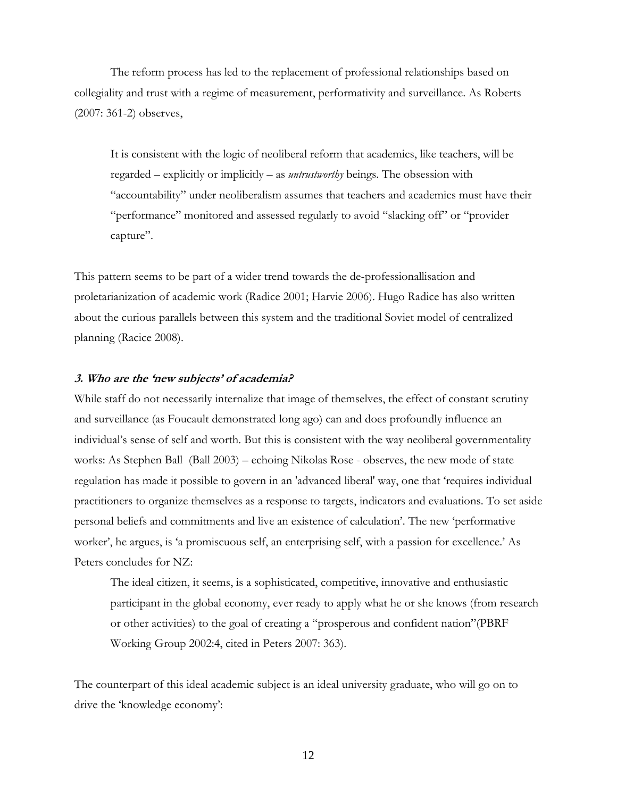The reform process has led to the replacement of professional relationships based on collegiality and trust with a regime of measurement, performativity and surveillance. As Roberts (2007: 361-2) observes,

It is consistent with the logic of neoliberal reform that academics, like teachers, will be regarded – explicitly or implicitly – as *untrustworthy* beings. The obsession with "accountability" under neoliberalism assumes that teachers and academics must have their "performance" monitored and assessed regularly to avoid "slacking off" or "provider capture".

This pattern seems to be part of a wider trend towards the de-professionallisation and proletarianization of academic work (Radice 2001; Harvie 2006). Hugo Radice has also written about the curious parallels between this system and the traditional Soviet model of centralized planning (Racice 2008).

#### **3. Who are the 'new subjects' of academia?**

While staff do not necessarily internalize that image of themselves, the effect of constant scrutiny and surveillance (as Foucault demonstrated long ago) can and does profoundly influence an individual's sense of self and worth. But this is consistent with the way neoliberal governmentality works: As Stephen Ball (Ball 2003) – echoing Nikolas Rose - observes, the new mode of state regulation has made it possible to govern in an 'advanced liberal' way, one that 'requires individual practitioners to organize themselves as a response to targets, indicators and evaluations. To set aside personal beliefs and commitments and live an existence of calculation'. The new 'performative worker', he argues, is 'a promiscuous self, an enterprising self, with a passion for excellence.' As Peters concludes for NZ:

The ideal citizen, it seems, is a sophisticated, competitive, innovative and enthusiastic participant in the global economy, ever ready to apply what he or she knows (from research or other activities) to the goal of creating a "prosperous and confident nation"(PBRF Working Group 2002:4, cited in Peters 2007: 363).

The counterpart of this ideal academic subject is an ideal university graduate, who will go on to drive the 'knowledge economy':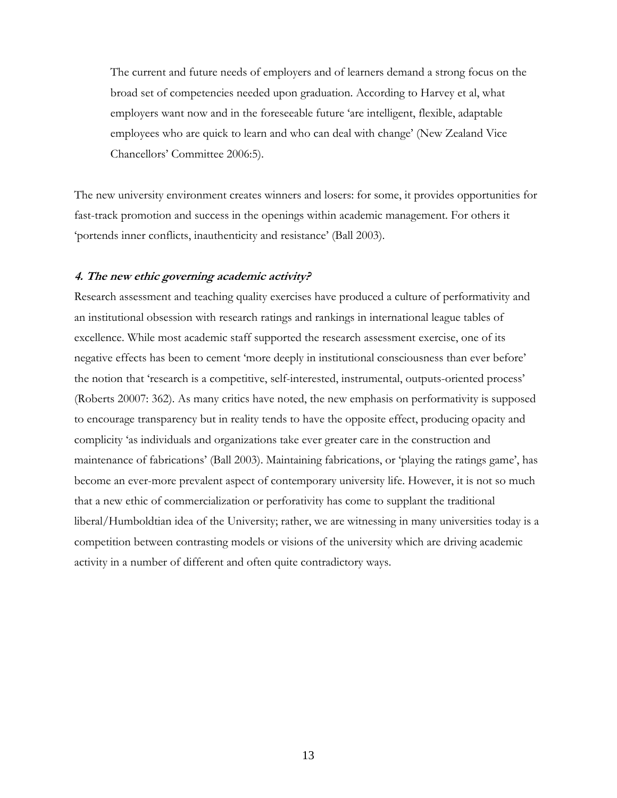The current and future needs of employers and of learners demand a strong focus on the broad set of competencies needed upon graduation. According to Harvey et al, what employers want now and in the foreseeable future 'are intelligent, flexible, adaptable employees who are quick to learn and who can deal with change' (New Zealand Vice Chancellors' Committee 2006:5).

The new university environment creates winners and losers: for some, it provides opportunities for fast-track promotion and success in the openings within academic management. For others it 'portends inner conflicts, inauthenticity and resistance' (Ball 2003).

# **4. The new ethic governing academic activity?**

Research assessment and teaching quality exercises have produced a culture of performativity and an institutional obsession with research ratings and rankings in international league tables of excellence. While most academic staff supported the research assessment exercise, one of its negative effects has been to cement 'more deeply in institutional consciousness than ever before' the notion that 'research is a competitive, self-interested, instrumental, outputs-oriented process' (Roberts 20007: 362). As many critics have noted, the new emphasis on performativity is supposed to encourage transparency but in reality tends to have the opposite effect, producing opacity and complicity 'as individuals and organizations take ever greater care in the construction and maintenance of fabrications' (Ball 2003). Maintaining fabrications, or 'playing the ratings game', has become an ever-more prevalent aspect of contemporary university life. However, it is not so much that a new ethic of commercialization or perforativity has come to supplant the traditional liberal/Humboldtian idea of the University; rather, we are witnessing in many universities today is a competition between contrasting models or visions of the university which are driving academic activity in a number of different and often quite contradictory ways.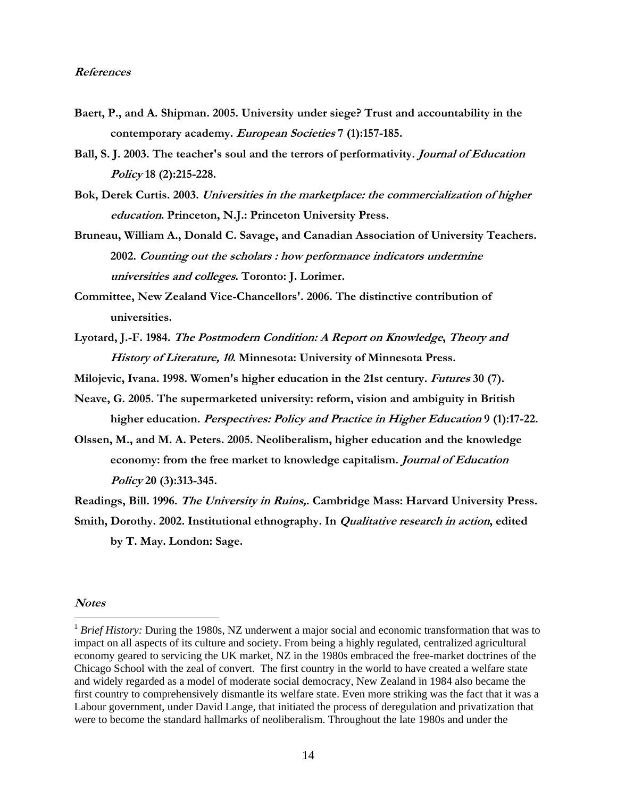- **Baert, P., and A. Shipman. 2005. University under siege? Trust and accountability in the contemporary academy. European Societies 7 (1):157-185.**
- **Ball, S. J. 2003. The teacher's soul and the terrors of performativity. Journal of Education Policy 18 (2):215-228.**
- **Bok, Derek Curtis. 2003. Universities in the marketplace: the commercialization of higher education. Princeton, N.J.: Princeton University Press.**
- **Bruneau, William A., Donald C. Savage, and Canadian Association of University Teachers. 2002. Counting out the scholars : how performance indicators undermine universities and colleges. Toronto: J. Lorimer.**
- **Committee, New Zealand Vice-Chancellors'. 2006. The distinctive contribution of universities.**
- **Lyotard, J.-F. 1984. The Postmodern Condition: A Report on Knowledge, Theory and History of Literature, 10. Minnesota: University of Minnesota Press.**

Milojevic, Ivana. 1998. Women's higher education in the 21st century. *Futures* 30 (7).

- **Neave, G. 2005. The supermarketed university: reform, vision and ambiguity in British higher education. Perspectives: Policy and Practice in Higher Education 9 (1):17-22.**
- **Olssen, M., and M. A. Peters. 2005. Neoliberalism, higher education and the knowledge economy: from the free market to knowledge capitalism. Journal of Education Policy 20 (3):313-345.**

**Readings, Bill. 1996. The University in Ruins,. Cambridge Mass: Harvard University Press.** 

**Smith, Dorothy. 2002. Institutional ethnography. In Qualitative research in action, edited by T. May. London: Sage.** 

#### **Notes**

 $\overline{a}$ 

<sup>&</sup>lt;sup>1</sup> *Brief History:* During the 1980s, NZ underwent a major social and economic transformation that was to impact on all aspects of its culture and society. From being a highly regulated, centralized agricultural economy geared to servicing the UK market, NZ in the 1980s embraced the free-market doctrines of the Chicago School with the zeal of convert. The first country in the world to have created a welfare state and widely regarded as a model of moderate social democracy, New Zealand in 1984 also became the first country to comprehensively dismantle its welfare state. Even more striking was the fact that it was a Labour government, under David Lange, that initiated the process of deregulation and privatization that were to become the standard hallmarks of neoliberalism. Throughout the late 1980s and under the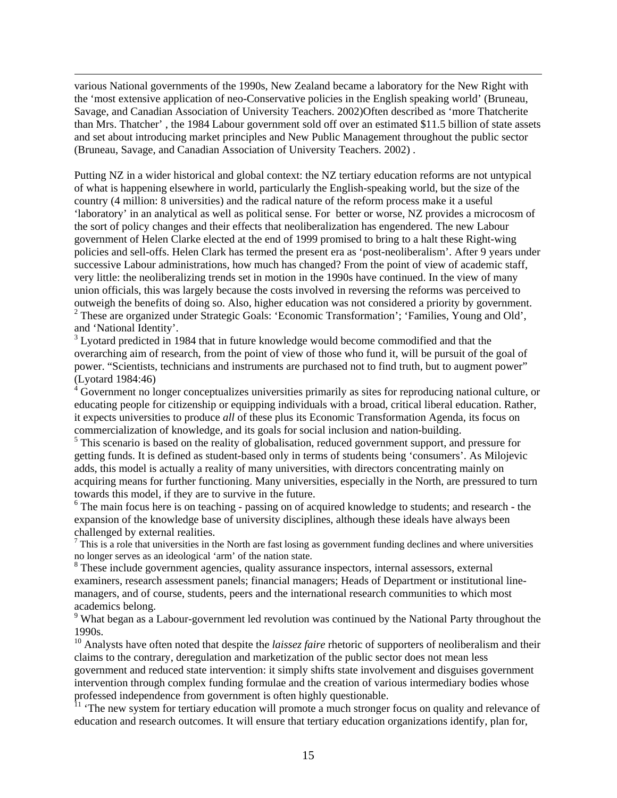various National governments of the 1990s, New Zealand became a laboratory for the New Right with the 'most extensive application of neo-Conservative policies in the English speaking world' (Bruneau, Savage, and Canadian Association of University Teachers. 2002)Often described as 'more Thatcherite than Mrs. Thatcher' , the 1984 Labour government sold off over an estimated \$11.5 billion of state assets and set about introducing market principles and New Public Management throughout the public sector (Bruneau, Savage, and Canadian Association of University Teachers. 2002) .

 $\overline{a}$ 

Putting NZ in a wider historical and global context: the NZ tertiary education reforms are not untypical of what is happening elsewhere in world, particularly the English-speaking world, but the size of the country (4 million: 8 universities) and the radical nature of the reform process make it a useful 'laboratory' in an analytical as well as political sense. For better or worse, NZ provides a microcosm of the sort of policy changes and their effects that neoliberalization has engendered. The new Labour government of Helen Clarke elected at the end of 1999 promised to bring to a halt these Right-wing policies and sell-offs. Helen Clark has termed the present era as 'post-neoliberalism'. After 9 years under successive Labour administrations, how much has changed? From the point of view of academic staff, very little: the neoliberalizing trends set in motion in the 1990s have continued. In the view of many union officials, this was largely because the costs involved in reversing the reforms was perceived to outweigh the benefits of doing so. Also, higher education was not considered a priority by government. <sup>2</sup> These are organized under Strategic Goals: 'Economic Transformation'; 'Families, Young and Old', and 'National Identity'.

<sup>3</sup> Lyotard predicted in 1984 that in future knowledge would become commodified and that the overarching aim of research, from the point of view of those who fund it, will be pursuit of the goal of power. "Scientists, technicians and instruments are purchased not to find truth, but to augment power" (Lyotard 1984:46)

<sup>4</sup> Government no longer conceptualizes universities primarily as sites for reproducing national culture, or educating people for citizenship or equipping individuals with a broad, critical liberal education. Rather, it expects universities to produce *all* of these plus its Economic Transformation Agenda, its focus on commercialization of knowledge, and its goals for social inclusion and nation-building.

<sup>5</sup> This scenario is based on the reality of globalisation, reduced government support, and pressure for getting funds. It is defined as student-based only in terms of students being 'consumers'. As Milojevic adds, this model is actually a reality of many universities, with directors concentrating mainly on acquiring means for further functioning. Many universities, especially in the North, are pressured to turn towards this model, if they are to survive in the future.

<sup>6</sup> The main focus here is on teaching - passing on of acquired knowledge to students; and research - the expansion of the knowledge base of university disciplines, although these ideals have always been challenged by external realities.

 $<sup>7</sup>$  This is a role that universities in the North are fast losing as government funding declines and where universities</sup> no longer serves as an ideological 'arm' of the nation state.

<sup>8</sup> These include government agencies, quality assurance inspectors, internal assessors, external examiners, research assessment panels; financial managers; Heads of Department or institutional linemanagers, and of course, students, peers and the international research communities to which most academics belong.

<sup>9</sup> What began as a Labour-government led revolution was continued by the National Party throughout the 1990s.

<sup>10</sup> Analysts have often noted that despite the *laissez faire* rhetoric of supporters of neoliberalism and their claims to the contrary, deregulation and marketization of the public sector does not mean less government and reduced state intervention: it simply shifts state involvement and disguises government intervention through complex funding formulae and the creation of various intermediary bodies whose professed independence from government is often highly questionable.

<sup>11</sup> 'The new system for tertiary education will promote a much stronger focus on quality and relevance of education and research outcomes. It will ensure that tertiary education organizations identify, plan for,